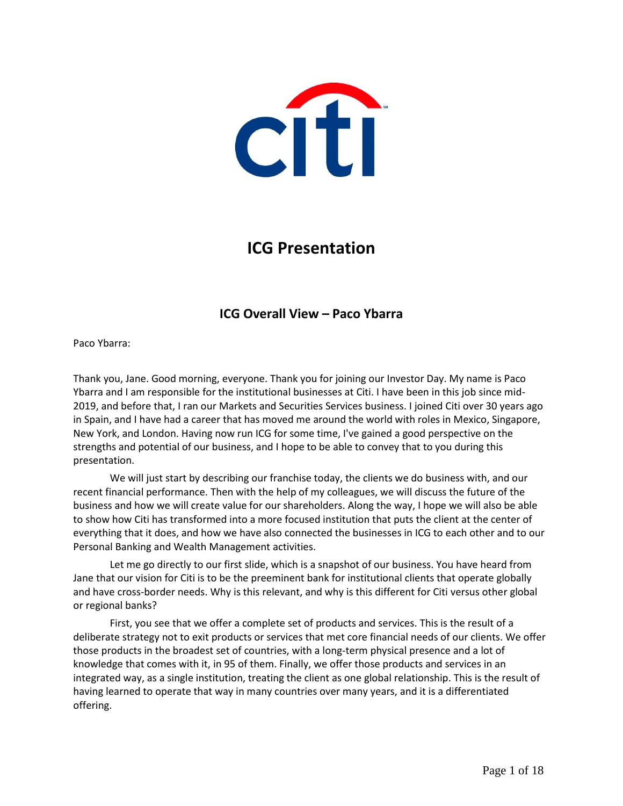

# **ICG Presentation**

# **ICG Overall View – Paco Ybarra**

Paco Ybarra:

Thank you, Jane. Good morning, everyone. Thank you for joining our Investor Day. My name is Paco Ybarra and I am responsible for the institutional businesses at Citi. I have been in this job since mid-2019, and before that, I ran our Markets and Securities Services business. I joined Citi over 30 years ago in Spain, and I have had a career that has moved me around the world with roles in Mexico, Singapore, New York, and London. Having now run ICG for some time, I've gained a good perspective on the strengths and potential of our business, and I hope to be able to convey that to you during this presentation.

We will just start by describing our franchise today, the clients we do business with, and our recent financial performance. Then with the help of my colleagues, we will discuss the future of the business and how we will create value for our shareholders. Along the way, I hope we will also be able to show how Citi has transformed into a more focused institution that puts the client at the center of everything that it does, and how we have also connected the businesses in ICG to each other and to our Personal Banking and Wealth Management activities.

Let me go directly to our first slide, which is a snapshot of our business. You have heard from Jane that our vision for Citi is to be the preeminent bank for institutional clients that operate globally and have cross-border needs. Why is this relevant, and why is this different for Citi versus other global or regional banks?

First, you see that we offer a complete set of products and services. This is the result of a deliberate strategy not to exit products or services that met core financial needs of our clients. We offer those products in the broadest set of countries, with a long-term physical presence and a lot of knowledge that comes with it, in 95 of them. Finally, we offer those products and services in an integrated way, as a single institution, treating the client as one global relationship. This is the result of having learned to operate that way in many countries over many years, and it is a differentiated offering.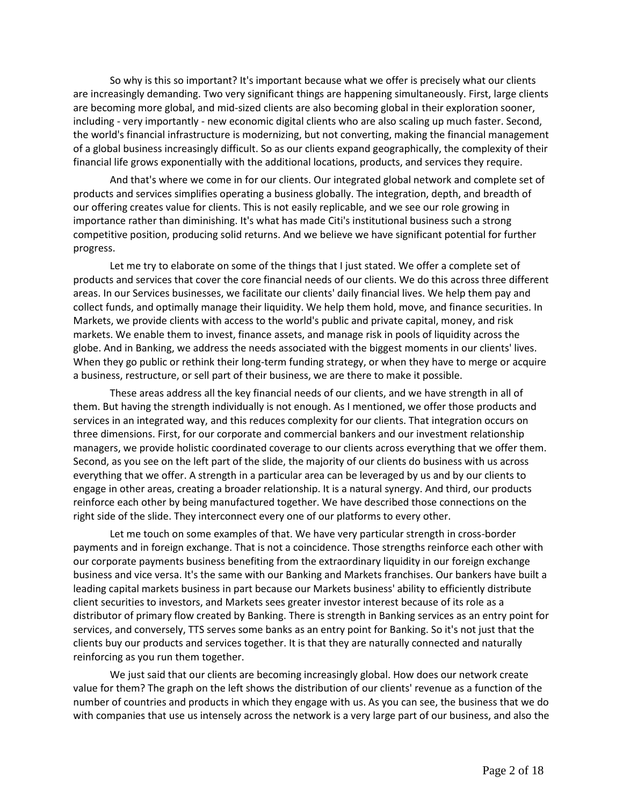So why is this so important? It's important because what we offer is precisely what our clients are increasingly demanding. Two very significant things are happening simultaneously. First, large clients are becoming more global, and mid-sized clients are also becoming global in their exploration sooner, including - very importantly - new economic digital clients who are also scaling up much faster. Second, the world's financial infrastructure is modernizing, but not converting, making the financial management of a global business increasingly difficult. So as our clients expand geographically, the complexity of their financial life grows exponentially with the additional locations, products, and services they require.

And that's where we come in for our clients. Our integrated global network and complete set of products and services simplifies operating a business globally. The integration, depth, and breadth of our offering creates value for clients. This is not easily replicable, and we see our role growing in importance rather than diminishing. It's what has made Citi's institutional business such a strong competitive position, producing solid returns. And we believe we have significant potential for further progress.

Let me try to elaborate on some of the things that I just stated. We offer a complete set of products and services that cover the core financial needs of our clients. We do this across three different areas. In our Services businesses, we facilitate our clients' daily financial lives. We help them pay and collect funds, and optimally manage their liquidity. We help them hold, move, and finance securities. In Markets, we provide clients with access to the world's public and private capital, money, and risk markets. We enable them to invest, finance assets, and manage risk in pools of liquidity across the globe. And in Banking, we address the needs associated with the biggest moments in our clients' lives. When they go public or rethink their long-term funding strategy, or when they have to merge or acquire a business, restructure, or sell part of their business, we are there to make it possible.

These areas address all the key financial needs of our clients, and we have strength in all of them. But having the strength individually is not enough. As I mentioned, we offer those products and services in an integrated way, and this reduces complexity for our clients. That integration occurs on three dimensions. First, for our corporate and commercial bankers and our investment relationship managers, we provide holistic coordinated coverage to our clients across everything that we offer them. Second, as you see on the left part of the slide, the majority of our clients do business with us across everything that we offer. A strength in a particular area can be leveraged by us and by our clients to engage in other areas, creating a broader relationship. It is a natural synergy. And third, our products reinforce each other by being manufactured together. We have described those connections on the right side of the slide. They interconnect every one of our platforms to every other.

Let me touch on some examples of that. We have very particular strength in cross-border payments and in foreign exchange. That is not a coincidence. Those strengths reinforce each other with our corporate payments business benefiting from the extraordinary liquidity in our foreign exchange business and vice versa. It's the same with our Banking and Markets franchises. Our bankers have built a leading capital markets business in part because our Markets business' ability to efficiently distribute client securities to investors, and Markets sees greater investor interest because of its role as a distributor of primary flow created by Banking. There is strength in Banking services as an entry point for services, and conversely, TTS serves some banks as an entry point for Banking. So it's not just that the clients buy our products and services together. It is that they are naturally connected and naturally reinforcing as you run them together.

We just said that our clients are becoming increasingly global. How does our network create value for them? The graph on the left shows the distribution of our clients' revenue as a function of the number of countries and products in which they engage with us. As you can see, the business that we do with companies that use us intensely across the network is a very large part of our business, and also the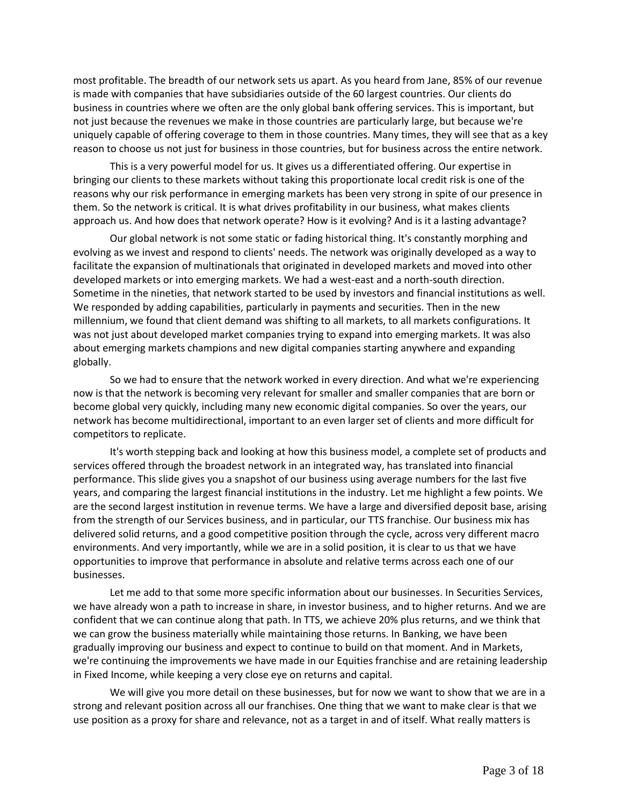most profitable. The breadth of our network sets us apart. As you heard from Jane, 85% of our revenue is made with companies that have subsidiaries outside of the 60 largest countries. Our clients do business in countries where we often are the only global bank offering services. This is important, but not just because the revenues we make in those countries are particularly large, but because we're uniquely capable of offering coverage to them in those countries. Many times, they will see that as a key reason to choose us not just for business in those countries, but for business across the entire network.

This is a very powerful model for us. It gives us a differentiated offering. Our expertise in bringing our clients to these markets without taking this proportionate local credit risk is one of the reasons why our risk performance in emerging markets has been very strong in spite of our presence in them. So the network is critical. It is what drives profitability in our business, what makes clients approach us. And how does that network operate? How is it evolving? And is it a lasting advantage?

Our global network is not some static or fading historical thing. It's constantly morphing and evolving as we invest and respond to clients' needs. The network was originally developed as a way to facilitate the expansion of multinationals that originated in developed markets and moved into other developed markets or into emerging markets. We had a west-east and a north-south direction. Sometime in the nineties, that network started to be used by investors and financial institutions as well. We responded by adding capabilities, particularly in payments and securities. Then in the new millennium, we found that client demand was shifting to all markets, to all markets configurations. It was not just about developed market companies trying to expand into emerging markets. It was also about emerging markets champions and new digital companies starting anywhere and expanding globally.

So we had to ensure that the network worked in every direction. And what we're experiencing now is that the network is becoming very relevant for smaller and smaller companies that are born or become global very quickly, including many new economic digital companies. So over the years, our network has become multidirectional, important to an even larger set of clients and more difficult for competitors to replicate.

It's worth stepping back and looking at how this business model, a complete set of products and services offered through the broadest network in an integrated way, has translated into financial performance. This slide gives you a snapshot of our business using average numbers for the last five years, and comparing the largest financial institutions in the industry. Let me highlight a few points. We are the second largest institution in revenue terms. We have a large and diversified deposit base, arising from the strength of our Services business, and in particular, our TTS franchise. Our business mix has delivered solid returns, and a good competitive position through the cycle, across very different macro environments. And very importantly, while we are in a solid position, it is clear to us that we have opportunities to improve that performance in absolute and relative terms across each one of our businesses.

Let me add to that some more specific information about our businesses. In Securities Services, we have already won a path to increase in share, in investor business, and to higher returns. And we are confident that we can continue along that path. In TTS, we achieve 20% plus returns, and we think that we can grow the business materially while maintaining those returns. In Banking, we have been gradually improving our business and expect to continue to build on that moment. And in Markets, we're continuing the improvements we have made in our Equities franchise and are retaining leadership in Fixed Income, while keeping a very close eye on returns and capital.

We will give you more detail on these businesses, but for now we want to show that we are in a strong and relevant position across all our franchises. One thing that we want to make clear is that we use position as a proxy for share and relevance, not as a target in and of itself. What really matters is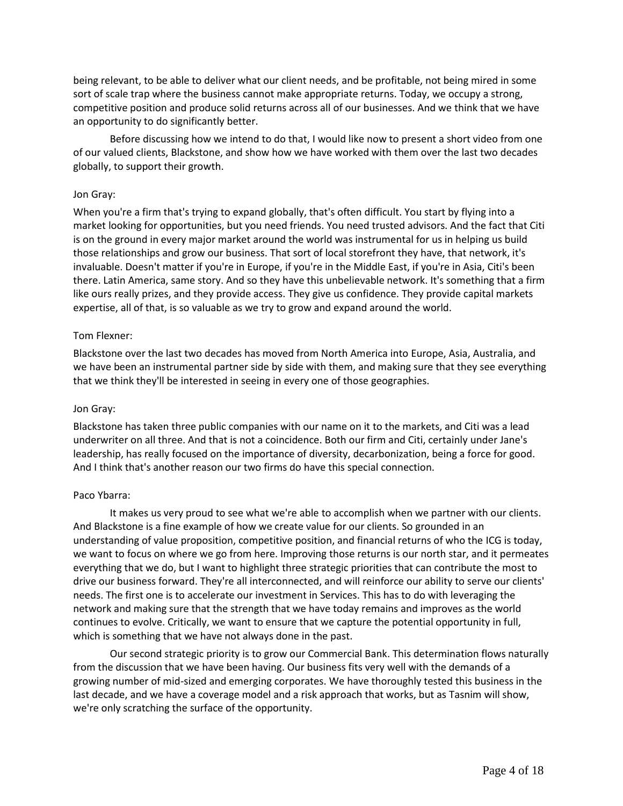being relevant, to be able to deliver what our client needs, and be profitable, not being mired in some sort of scale trap where the business cannot make appropriate returns. Today, we occupy a strong, competitive position and produce solid returns across all of our businesses. And we think that we have an opportunity to do significantly better.

Before discussing how we intend to do that, I would like now to present a short video from one of our valued clients, Blackstone, and show how we have worked with them over the last two decades globally, to support their growth.

#### Jon Gray:

When you're a firm that's trying to expand globally, that's often difficult. You start by flying into a market looking for opportunities, but you need friends. You need trusted advisors. And the fact that Citi is on the ground in every major market around the world was instrumental for us in helping us build those relationships and grow our business. That sort of local storefront they have, that network, it's invaluable. Doesn't matter if you're in Europe, if you're in the Middle East, if you're in Asia, Citi's been there. Latin America, same story. And so they have this unbelievable network. It's something that a firm like ours really prizes, and they provide access. They give us confidence. They provide capital markets expertise, all of that, is so valuable as we try to grow and expand around the world.

#### Tom Flexner:

Blackstone over the last two decades has moved from North America into Europe, Asia, Australia, and we have been an instrumental partner side by side with them, and making sure that they see everything that we think they'll be interested in seeing in every one of those geographies.

#### Jon Gray:

Blackstone has taken three public companies with our name on it to the markets, and Citi was a lead underwriter on all three. And that is not a coincidence. Both our firm and Citi, certainly under Jane's leadership, has really focused on the importance of diversity, decarbonization, being a force for good. And I think that's another reason our two firms do have this special connection.

#### Paco Ybarra:

It makes us very proud to see what we're able to accomplish when we partner with our clients. And Blackstone is a fine example of how we create value for our clients. So grounded in an understanding of value proposition, competitive position, and financial returns of who the ICG is today, we want to focus on where we go from here. Improving those returns is our north star, and it permeates everything that we do, but I want to highlight three strategic priorities that can contribute the most to drive our business forward. They're all interconnected, and will reinforce our ability to serve our clients' needs. The first one is to accelerate our investment in Services. This has to do with leveraging the network and making sure that the strength that we have today remains and improves as the world continues to evolve. Critically, we want to ensure that we capture the potential opportunity in full, which is something that we have not always done in the past.

Our second strategic priority is to grow our Commercial Bank. This determination flows naturally from the discussion that we have been having. Our business fits very well with the demands of a growing number of mid-sized and emerging corporates. We have thoroughly tested this business in the last decade, and we have a coverage model and a risk approach that works, but as Tasnim will show, we're only scratching the surface of the opportunity.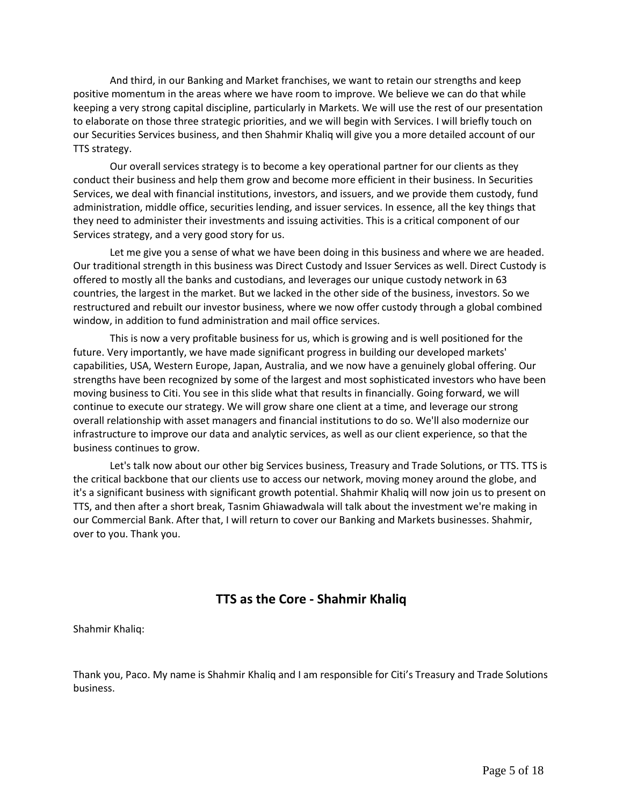And third, in our Banking and Market franchises, we want to retain our strengths and keep positive momentum in the areas where we have room to improve. We believe we can do that while keeping a very strong capital discipline, particularly in Markets. We will use the rest of our presentation to elaborate on those three strategic priorities, and we will begin with Services. I will briefly touch on our Securities Services business, and then Shahmir Khaliq will give you a more detailed account of our TTS strategy.

Our overall services strategy is to become a key operational partner for our clients as they conduct their business and help them grow and become more efficient in their business. In Securities Services, we deal with financial institutions, investors, and issuers, and we provide them custody, fund administration, middle office, securities lending, and issuer services. In essence, all the key things that they need to administer their investments and issuing activities. This is a critical component of our Services strategy, and a very good story for us.

Let me give you a sense of what we have been doing in this business and where we are headed. Our traditional strength in this business was Direct Custody and Issuer Services as well. Direct Custody is offered to mostly all the banks and custodians, and leverages our unique custody network in 63 countries, the largest in the market. But we lacked in the other side of the business, investors. So we restructured and rebuilt our investor business, where we now offer custody through a global combined window, in addition to fund administration and mail office services.

This is now a very profitable business for us, which is growing and is well positioned for the future. Very importantly, we have made significant progress in building our developed markets' capabilities, USA, Western Europe, Japan, Australia, and we now have a genuinely global offering. Our strengths have been recognized by some of the largest and most sophisticated investors who have been moving business to Citi. You see in this slide what that results in financially. Going forward, we will continue to execute our strategy. We will grow share one client at a time, and leverage our strong overall relationship with asset managers and financial institutions to do so. We'll also modernize our infrastructure to improve our data and analytic services, as well as our client experience, so that the business continues to grow.

Let's talk now about our other big Services business, Treasury and Trade Solutions, or TTS. TTS is the critical backbone that our clients use to access our network, moving money around the globe, and it's a significant business with significant growth potential. Shahmir Khaliq will now join us to present on TTS, and then after a short break, Tasnim Ghiawadwala will talk about the investment we're making in our Commercial Bank. After that, I will return to cover our Banking and Markets businesses. Shahmir, over to you. Thank you.

# **TTS as the Core - Shahmir Khaliq**

Shahmir Khaliq:

Thank you, Paco. My name is Shahmir Khaliq and I am responsible for Citi's Treasury and Trade Solutions business.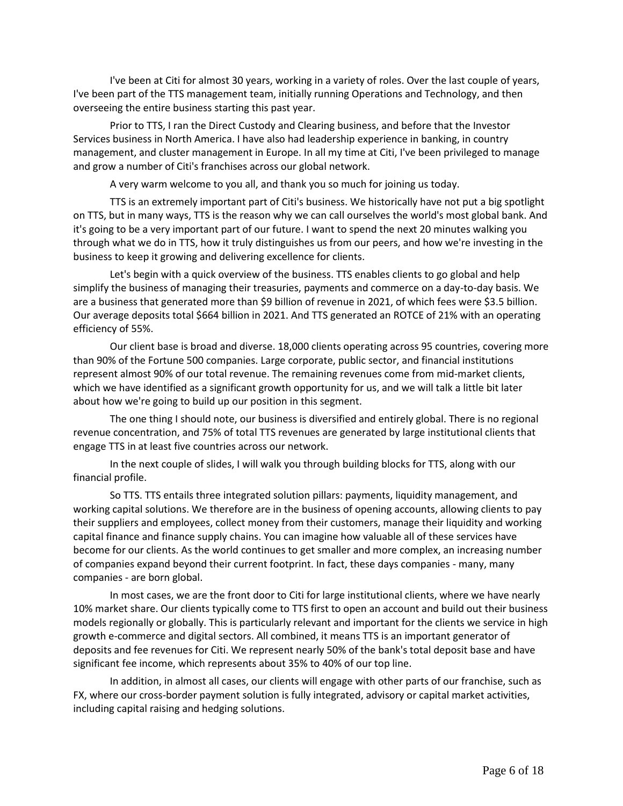I've been at Citi for almost 30 years, working in a variety of roles. Over the last couple of years, I've been part of the TTS management team, initially running Operations and Technology, and then overseeing the entire business starting this past year.

Prior to TTS, I ran the Direct Custody and Clearing business, and before that the Investor Services business in North America. I have also had leadership experience in banking, in country management, and cluster management in Europe. In all my time at Citi, I've been privileged to manage and grow a number of Citi's franchises across our global network.

A very warm welcome to you all, and thank you so much for joining us today.

TTS is an extremely important part of Citi's business. We historically have not put a big spotlight on TTS, but in many ways, TTS is the reason why we can call ourselves the world's most global bank. And it's going to be a very important part of our future. I want to spend the next 20 minutes walking you through what we do in TTS, how it truly distinguishes us from our peers, and how we're investing in the business to keep it growing and delivering excellence for clients.

Let's begin with a quick overview of the business. TTS enables clients to go global and help simplify the business of managing their treasuries, payments and commerce on a day-to-day basis. We are a business that generated more than \$9 billion of revenue in 2021, of which fees were \$3.5 billion. Our average deposits total \$664 billion in 2021. And TTS generated an ROTCE of 21% with an operating efficiency of 55%.

Our client base is broad and diverse. 18,000 clients operating across 95 countries, covering more than 90% of the Fortune 500 companies. Large corporate, public sector, and financial institutions represent almost 90% of our total revenue. The remaining revenues come from mid-market clients, which we have identified as a significant growth opportunity for us, and we will talk a little bit later about how we're going to build up our position in this segment.

The one thing I should note, our business is diversified and entirely global. There is no regional revenue concentration, and 75% of total TTS revenues are generated by large institutional clients that engage TTS in at least five countries across our network.

In the next couple of slides, I will walk you through building blocks for TTS, along with our financial profile.

So TTS. TTS entails three integrated solution pillars: payments, liquidity management, and working capital solutions. We therefore are in the business of opening accounts, allowing clients to pay their suppliers and employees, collect money from their customers, manage their liquidity and working capital finance and finance supply chains. You can imagine how valuable all of these services have become for our clients. As the world continues to get smaller and more complex, an increasing number of companies expand beyond their current footprint. In fact, these days companies - many, many companies - are born global.

In most cases, we are the front door to Citi for large institutional clients, where we have nearly 10% market share. Our clients typically come to TTS first to open an account and build out their business models regionally or globally. This is particularly relevant and important for the clients we service in high growth e-commerce and digital sectors. All combined, it means TTS is an important generator of deposits and fee revenues for Citi. We represent nearly 50% of the bank's total deposit base and have significant fee income, which represents about 35% to 40% of our top line.

In addition, in almost all cases, our clients will engage with other parts of our franchise, such as FX, where our cross-border payment solution is fully integrated, advisory or capital market activities, including capital raising and hedging solutions.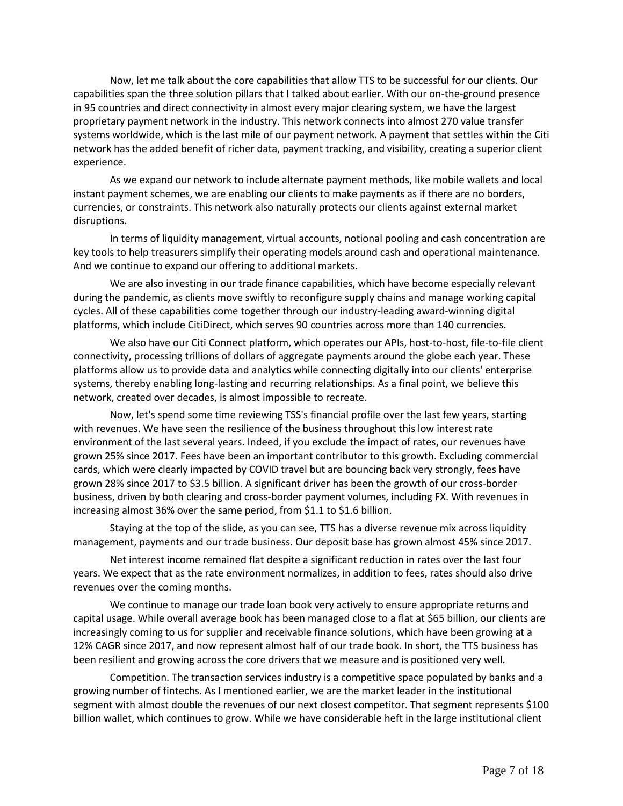Now, let me talk about the core capabilities that allow TTS to be successful for our clients. Our capabilities span the three solution pillars that I talked about earlier. With our on-the-ground presence in 95 countries and direct connectivity in almost every major clearing system, we have the largest proprietary payment network in the industry. This network connects into almost 270 value transfer systems worldwide, which is the last mile of our payment network. A payment that settles within the Citi network has the added benefit of richer data, payment tracking, and visibility, creating a superior client experience.

As we expand our network to include alternate payment methods, like mobile wallets and local instant payment schemes, we are enabling our clients to make payments as if there are no borders, currencies, or constraints. This network also naturally protects our clients against external market disruptions.

In terms of liquidity management, virtual accounts, notional pooling and cash concentration are key tools to help treasurers simplify their operating models around cash and operational maintenance. And we continue to expand our offering to additional markets.

We are also investing in our trade finance capabilities, which have become especially relevant during the pandemic, as clients move swiftly to reconfigure supply chains and manage working capital cycles. All of these capabilities come together through our industry-leading award-winning digital platforms, which include CitiDirect, which serves 90 countries across more than 140 currencies.

We also have our Citi Connect platform, which operates our APIs, host-to-host, file-to-file client connectivity, processing trillions of dollars of aggregate payments around the globe each year. These platforms allow us to provide data and analytics while connecting digitally into our clients' enterprise systems, thereby enabling long-lasting and recurring relationships. As a final point, we believe this network, created over decades, is almost impossible to recreate.

Now, let's spend some time reviewing TSS's financial profile over the last few years, starting with revenues. We have seen the resilience of the business throughout this low interest rate environment of the last several years. Indeed, if you exclude the impact of rates, our revenues have grown 25% since 2017. Fees have been an important contributor to this growth. Excluding commercial cards, which were clearly impacted by COVID travel but are bouncing back very strongly, fees have grown 28% since 2017 to \$3.5 billion. A significant driver has been the growth of our cross-border business, driven by both clearing and cross-border payment volumes, including FX. With revenues in increasing almost 36% over the same period, from \$1.1 to \$1.6 billion.

Staying at the top of the slide, as you can see, TTS has a diverse revenue mix across liquidity management, payments and our trade business. Our deposit base has grown almost 45% since 2017.

Net interest income remained flat despite a significant reduction in rates over the last four years. We expect that as the rate environment normalizes, in addition to fees, rates should also drive revenues over the coming months.

We continue to manage our trade loan book very actively to ensure appropriate returns and capital usage. While overall average book has been managed close to a flat at \$65 billion, our clients are increasingly coming to us for supplier and receivable finance solutions, which have been growing at a 12% CAGR since 2017, and now represent almost half of our trade book. In short, the TTS business has been resilient and growing across the core drivers that we measure and is positioned very well.

Competition. The transaction services industry is a competitive space populated by banks and a growing number of fintechs. As I mentioned earlier, we are the market leader in the institutional segment with almost double the revenues of our next closest competitor. That segment represents \$100 billion wallet, which continues to grow. While we have considerable heft in the large institutional client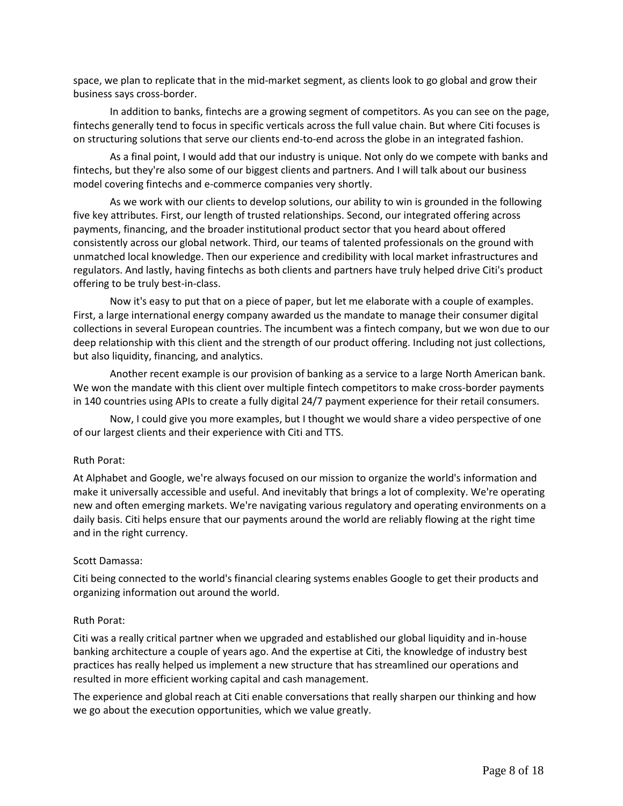space, we plan to replicate that in the mid-market segment, as clients look to go global and grow their business says cross-border.

In addition to banks, fintechs are a growing segment of competitors. As you can see on the page, fintechs generally tend to focus in specific verticals across the full value chain. But where Citi focuses is on structuring solutions that serve our clients end-to-end across the globe in an integrated fashion.

As a final point, I would add that our industry is unique. Not only do we compete with banks and fintechs, but they're also some of our biggest clients and partners. And I will talk about our business model covering fintechs and e-commerce companies very shortly.

As we work with our clients to develop solutions, our ability to win is grounded in the following five key attributes. First, our length of trusted relationships. Second, our integrated offering across payments, financing, and the broader institutional product sector that you heard about offered consistently across our global network. Third, our teams of talented professionals on the ground with unmatched local knowledge. Then our experience and credibility with local market infrastructures and regulators. And lastly, having fintechs as both clients and partners have truly helped drive Citi's product offering to be truly best-in-class.

Now it's easy to put that on a piece of paper, but let me elaborate with a couple of examples. First, a large international energy company awarded us the mandate to manage their consumer digital collections in several European countries. The incumbent was a fintech company, but we won due to our deep relationship with this client and the strength of our product offering. Including not just collections, but also liquidity, financing, and analytics.

Another recent example is our provision of banking as a service to a large North American bank. We won the mandate with this client over multiple fintech competitors to make cross-border payments in 140 countries using APIs to create a fully digital 24/7 payment experience for their retail consumers.

Now, I could give you more examples, but I thought we would share a video perspective of one of our largest clients and their experience with Citi and TTS.

#### Ruth Porat:

At Alphabet and Google, we're always focused on our mission to organize the world's information and make it universally accessible and useful. And inevitably that brings a lot of complexity. We're operating new and often emerging markets. We're navigating various regulatory and operating environments on a daily basis. Citi helps ensure that our payments around the world are reliably flowing at the right time and in the right currency.

#### Scott Damassa:

Citi being connected to the world's financial clearing systems enables Google to get their products and organizing information out around the world.

#### Ruth Porat:

Citi was a really critical partner when we upgraded and established our global liquidity and in-house banking architecture a couple of years ago. And the expertise at Citi, the knowledge of industry best practices has really helped us implement a new structure that has streamlined our operations and resulted in more efficient working capital and cash management.

The experience and global reach at Citi enable conversations that really sharpen our thinking and how we go about the execution opportunities, which we value greatly.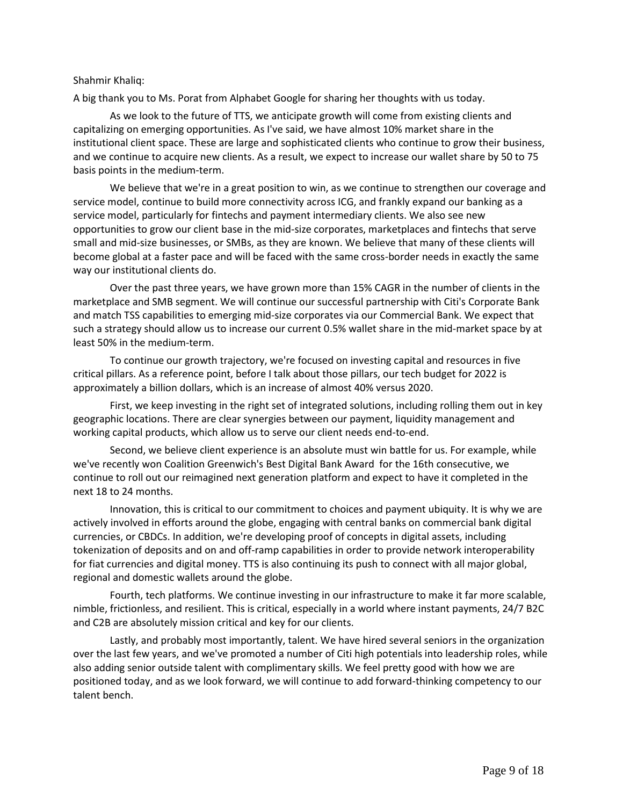#### Shahmir Khaliq:

A big thank you to Ms. Porat from Alphabet Google for sharing her thoughts with us today.

As we look to the future of TTS, we anticipate growth will come from existing clients and capitalizing on emerging opportunities. As I've said, we have almost 10% market share in the institutional client space. These are large and sophisticated clients who continue to grow their business, and we continue to acquire new clients. As a result, we expect to increase our wallet share by 50 to 75 basis points in the medium-term.

We believe that we're in a great position to win, as we continue to strengthen our coverage and service model, continue to build more connectivity across ICG, and frankly expand our banking as a service model, particularly for fintechs and payment intermediary clients. We also see new opportunities to grow our client base in the mid-size corporates, marketplaces and fintechs that serve small and mid-size businesses, or SMBs, as they are known. We believe that many of these clients will become global at a faster pace and will be faced with the same cross-border needs in exactly the same way our institutional clients do.

Over the past three years, we have grown more than 15% CAGR in the number of clients in the marketplace and SMB segment. We will continue our successful partnership with Citi's Corporate Bank and match TSS capabilities to emerging mid-size corporates via our Commercial Bank. We expect that such a strategy should allow us to increase our current 0.5% wallet share in the mid-market space by at least 50% in the medium-term.

To continue our growth trajectory, we're focused on investing capital and resources in five critical pillars. As a reference point, before I talk about those pillars, our tech budget for 2022 is approximately a billion dollars, which is an increase of almost 40% versus 2020.

First, we keep investing in the right set of integrated solutions, including rolling them out in key geographic locations. There are clear synergies between our payment, liquidity management and working capital products, which allow us to serve our client needs end-to-end.

Second, we believe client experience is an absolute must win battle for us. For example, while we've recently won Coalition Greenwich's Best Digital Bank Award for the 16th consecutive, we continue to roll out our reimagined next generation platform and expect to have it completed in the next 18 to 24 months.

Innovation, this is critical to our commitment to choices and payment ubiquity. It is why we are actively involved in efforts around the globe, engaging with central banks on commercial bank digital currencies, or CBDCs. In addition, we're developing proof of concepts in digital assets, including tokenization of deposits and on and off-ramp capabilities in order to provide network interoperability for fiat currencies and digital money. TTS is also continuing its push to connect with all major global, regional and domestic wallets around the globe.

Fourth, tech platforms. We continue investing in our infrastructure to make it far more scalable, nimble, frictionless, and resilient. This is critical, especially in a world where instant payments, 24/7 B2C and C2B are absolutely mission critical and key for our clients.

Lastly, and probably most importantly, talent. We have hired several seniors in the organization over the last few years, and we've promoted a number of Citi high potentials into leadership roles, while also adding senior outside talent with complimentary skills. We feel pretty good with how we are positioned today, and as we look forward, we will continue to add forward-thinking competency to our talent bench.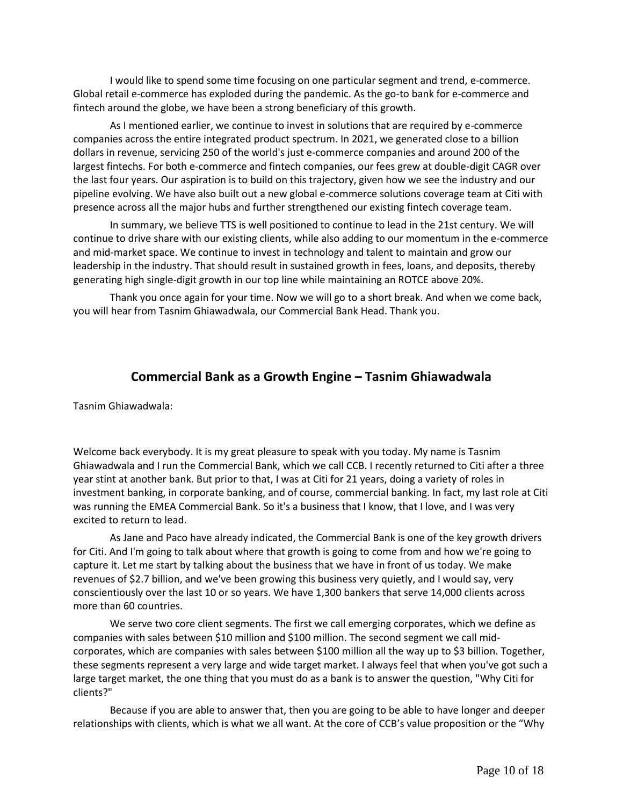I would like to spend some time focusing on one particular segment and trend, e-commerce. Global retail e-commerce has exploded during the pandemic. As the go-to bank for e-commerce and fintech around the globe, we have been a strong beneficiary of this growth.

As I mentioned earlier, we continue to invest in solutions that are required by e-commerce companies across the entire integrated product spectrum. In 2021, we generated close to a billion dollars in revenue, servicing 250 of the world's just e-commerce companies and around 200 of the largest fintechs. For both e-commerce and fintech companies, our fees grew at double-digit CAGR over the last four years. Our aspiration is to build on this trajectory, given how we see the industry and our pipeline evolving. We have also built out a new global e-commerce solutions coverage team at Citi with presence across all the major hubs and further strengthened our existing fintech coverage team.

In summary, we believe TTS is well positioned to continue to lead in the 21st century. We will continue to drive share with our existing clients, while also adding to our momentum in the e-commerce and mid-market space. We continue to invest in technology and talent to maintain and grow our leadership in the industry. That should result in sustained growth in fees, loans, and deposits, thereby generating high single-digit growth in our top line while maintaining an ROTCE above 20%.

Thank you once again for your time. Now we will go to a short break. And when we come back, you will hear from Tasnim Ghiawadwala, our Commercial Bank Head. Thank you.

# **Commercial Bank as a Growth Engine – Tasnim Ghiawadwala**

Tasnim Ghiawadwala:

Welcome back everybody. It is my great pleasure to speak with you today. My name is Tasnim Ghiawadwala and I run the Commercial Bank, which we call CCB. I recently returned to Citi after a three year stint at another bank. But prior to that, I was at Citi for 21 years, doing a variety of roles in investment banking, in corporate banking, and of course, commercial banking. In fact, my last role at Citi was running the EMEA Commercial Bank. So it's a business that I know, that I love, and I was very excited to return to lead.

As Jane and Paco have already indicated, the Commercial Bank is one of the key growth drivers for Citi. And I'm going to talk about where that growth is going to come from and how we're going to capture it. Let me start by talking about the business that we have in front of us today. We make revenues of \$2.7 billion, and we've been growing this business very quietly, and I would say, very conscientiously over the last 10 or so years. We have 1,300 bankers that serve 14,000 clients across more than 60 countries.

We serve two core client segments. The first we call emerging corporates, which we define as companies with sales between \$10 million and \$100 million. The second segment we call midcorporates, which are companies with sales between \$100 million all the way up to \$3 billion. Together, these segments represent a very large and wide target market. I always feel that when you've got such a large target market, the one thing that you must do as a bank is to answer the question, "Why Citi for clients?"

Because if you are able to answer that, then you are going to be able to have longer and deeper relationships with clients, which is what we all want. At the core of CCB's value proposition or the "Why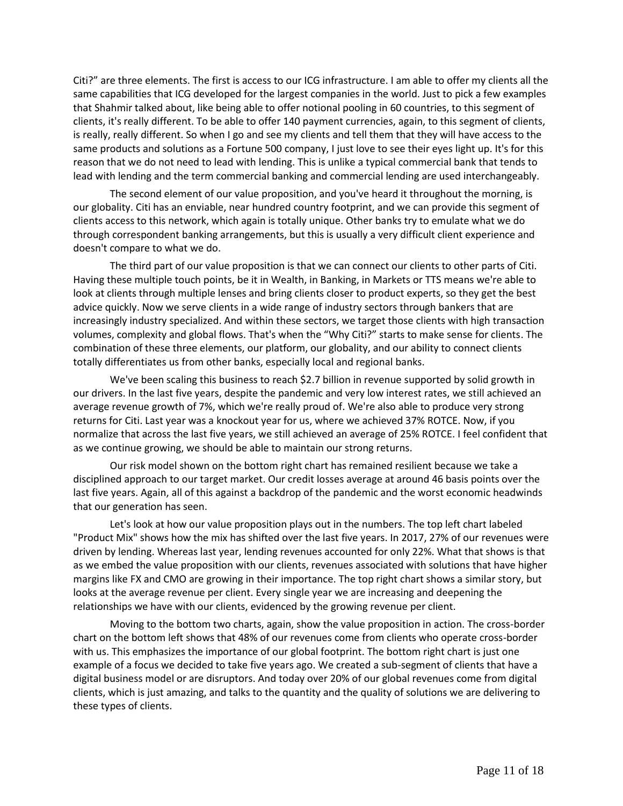Citi?" are three elements. The first is access to our ICG infrastructure. I am able to offer my clients all the same capabilities that ICG developed for the largest companies in the world. Just to pick a few examples that Shahmir talked about, like being able to offer notional pooling in 60 countries, to this segment of clients, it's really different. To be able to offer 140 payment currencies, again, to this segment of clients, is really, really different. So when I go and see my clients and tell them that they will have access to the same products and solutions as a Fortune 500 company, I just love to see their eyes light up. It's for this reason that we do not need to lead with lending. This is unlike a typical commercial bank that tends to lead with lending and the term commercial banking and commercial lending are used interchangeably.

The second element of our value proposition, and you've heard it throughout the morning, is our globality. Citi has an enviable, near hundred country footprint, and we can provide this segment of clients access to this network, which again is totally unique. Other banks try to emulate what we do through correspondent banking arrangements, but this is usually a very difficult client experience and doesn't compare to what we do.

The third part of our value proposition is that we can connect our clients to other parts of Citi. Having these multiple touch points, be it in Wealth, in Banking, in Markets or TTS means we're able to look at clients through multiple lenses and bring clients closer to product experts, so they get the best advice quickly. Now we serve clients in a wide range of industry sectors through bankers that are increasingly industry specialized. And within these sectors, we target those clients with high transaction volumes, complexity and global flows. That's when the "Why Citi?" starts to make sense for clients. The combination of these three elements, our platform, our globality, and our ability to connect clients totally differentiates us from other banks, especially local and regional banks.

We've been scaling this business to reach \$2.7 billion in revenue supported by solid growth in our drivers. In the last five years, despite the pandemic and very low interest rates, we still achieved an average revenue growth of 7%, which we're really proud of. We're also able to produce very strong returns for Citi. Last year was a knockout year for us, where we achieved 37% ROTCE. Now, if you normalize that across the last five years, we still achieved an average of 25% ROTCE. I feel confident that as we continue growing, we should be able to maintain our strong returns.

Our risk model shown on the bottom right chart has remained resilient because we take a disciplined approach to our target market. Our credit losses average at around 46 basis points over the last five years. Again, all of this against a backdrop of the pandemic and the worst economic headwinds that our generation has seen.

Let's look at how our value proposition plays out in the numbers. The top left chart labeled "Product Mix" shows how the mix has shifted over the last five years. In 2017, 27% of our revenues were driven by lending. Whereas last year, lending revenues accounted for only 22%. What that shows is that as we embed the value proposition with our clients, revenues associated with solutions that have higher margins like FX and CMO are growing in their importance. The top right chart shows a similar story, but looks at the average revenue per client. Every single year we are increasing and deepening the relationships we have with our clients, evidenced by the growing revenue per client.

Moving to the bottom two charts, again, show the value proposition in action. The cross-border chart on the bottom left shows that 48% of our revenues come from clients who operate cross-border with us. This emphasizes the importance of our global footprint. The bottom right chart is just one example of a focus we decided to take five years ago. We created a sub-segment of clients that have a digital business model or are disruptors. And today over 20% of our global revenues come from digital clients, which is just amazing, and talks to the quantity and the quality of solutions we are delivering to these types of clients.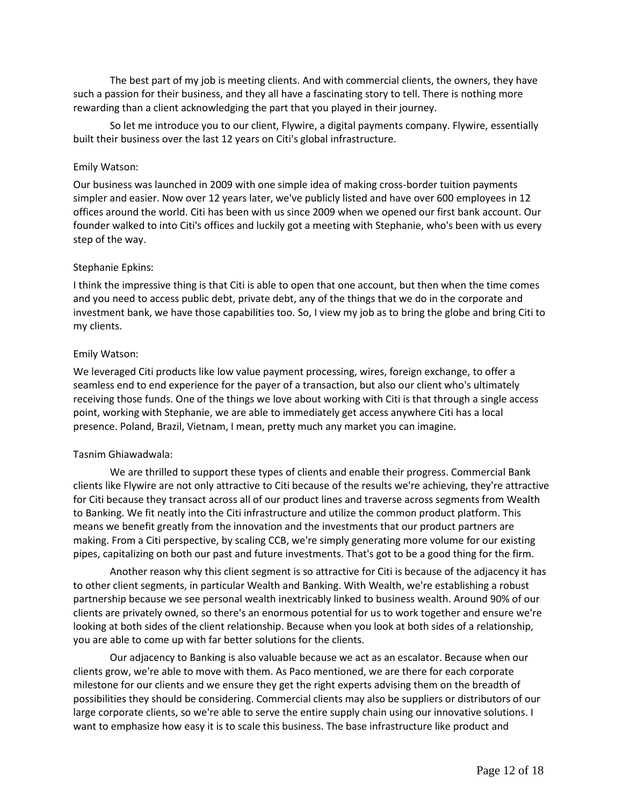The best part of my job is meeting clients. And with commercial clients, the owners, they have such a passion for their business, and they all have a fascinating story to tell. There is nothing more rewarding than a client acknowledging the part that you played in their journey.

So let me introduce you to our client, Flywire, a digital payments company. Flywire, essentially built their business over the last 12 years on Citi's global infrastructure.

#### Emily Watson:

Our business was launched in 2009 with one simple idea of making cross-border tuition payments simpler and easier. Now over 12 years later, we've publicly listed and have over 600 employees in 12 offices around the world. Citi has been with us since 2009 when we opened our first bank account. Our founder walked to into Citi's offices and luckily got a meeting with Stephanie, who's been with us every step of the way.

#### Stephanie Epkins:

I think the impressive thing is that Citi is able to open that one account, but then when the time comes and you need to access public debt, private debt, any of the things that we do in the corporate and investment bank, we have those capabilities too. So, I view my job as to bring the globe and bring Citi to my clients.

#### Emily Watson:

We leveraged Citi products like low value payment processing, wires, foreign exchange, to offer a seamless end to end experience for the payer of a transaction, but also our client who's ultimately receiving those funds. One of the things we love about working with Citi is that through a single access point, working with Stephanie, we are able to immediately get access anywhere Citi has a local presence. Poland, Brazil, Vietnam, I mean, pretty much any market you can imagine.

#### Tasnim Ghiawadwala:

We are thrilled to support these types of clients and enable their progress. Commercial Bank clients like Flywire are not only attractive to Citi because of the results we're achieving, they're attractive for Citi because they transact across all of our product lines and traverse across segments from Wealth to Banking. We fit neatly into the Citi infrastructure and utilize the common product platform. This means we benefit greatly from the innovation and the investments that our product partners are making. From a Citi perspective, by scaling CCB, we're simply generating more volume for our existing pipes, capitalizing on both our past and future investments. That's got to be a good thing for the firm.

Another reason why this client segment is so attractive for Citi is because of the adjacency it has to other client segments, in particular Wealth and Banking. With Wealth, we're establishing a robust partnership because we see personal wealth inextricably linked to business wealth. Around 90% of our clients are privately owned, so there's an enormous potential for us to work together and ensure we're looking at both sides of the client relationship. Because when you look at both sides of a relationship, you are able to come up with far better solutions for the clients.

Our adjacency to Banking is also valuable because we act as an escalator. Because when our clients grow, we're able to move with them. As Paco mentioned, we are there for each corporate milestone for our clients and we ensure they get the right experts advising them on the breadth of possibilities they should be considering. Commercial clients may also be suppliers or distributors of our large corporate clients, so we're able to serve the entire supply chain using our innovative solutions. I want to emphasize how easy it is to scale this business. The base infrastructure like product and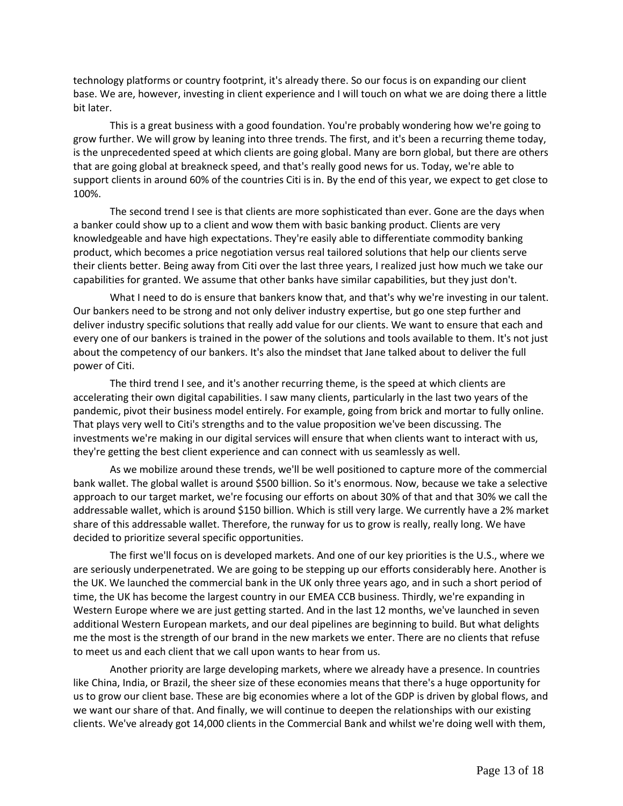technology platforms or country footprint, it's already there. So our focus is on expanding our client base. We are, however, investing in client experience and I will touch on what we are doing there a little bit later.

This is a great business with a good foundation. You're probably wondering how we're going to grow further. We will grow by leaning into three trends. The first, and it's been a recurring theme today, is the unprecedented speed at which clients are going global. Many are born global, but there are others that are going global at breakneck speed, and that's really good news for us. Today, we're able to support clients in around 60% of the countries Citi is in. By the end of this year, we expect to get close to 100%.

The second trend I see is that clients are more sophisticated than ever. Gone are the days when a banker could show up to a client and wow them with basic banking product. Clients are very knowledgeable and have high expectations. They're easily able to differentiate commodity banking product, which becomes a price negotiation versus real tailored solutions that help our clients serve their clients better. Being away from Citi over the last three years, I realized just how much we take our capabilities for granted. We assume that other banks have similar capabilities, but they just don't.

What I need to do is ensure that bankers know that, and that's why we're investing in our talent. Our bankers need to be strong and not only deliver industry expertise, but go one step further and deliver industry specific solutions that really add value for our clients. We want to ensure that each and every one of our bankers is trained in the power of the solutions and tools available to them. It's not just about the competency of our bankers. It's also the mindset that Jane talked about to deliver the full power of Citi.

The third trend I see, and it's another recurring theme, is the speed at which clients are accelerating their own digital capabilities. I saw many clients, particularly in the last two years of the pandemic, pivot their business model entirely. For example, going from brick and mortar to fully online. That plays very well to Citi's strengths and to the value proposition we've been discussing. The investments we're making in our digital services will ensure that when clients want to interact with us, they're getting the best client experience and can connect with us seamlessly as well.

As we mobilize around these trends, we'll be well positioned to capture more of the commercial bank wallet. The global wallet is around \$500 billion. So it's enormous. Now, because we take a selective approach to our target market, we're focusing our efforts on about 30% of that and that 30% we call the addressable wallet, which is around \$150 billion. Which is still very large. We currently have a 2% market share of this addressable wallet. Therefore, the runway for us to grow is really, really long. We have decided to prioritize several specific opportunities.

The first we'll focus on is developed markets. And one of our key priorities is the U.S., where we are seriously underpenetrated. We are going to be stepping up our efforts considerably here. Another is the UK. We launched the commercial bank in the UK only three years ago, and in such a short period of time, the UK has become the largest country in our EMEA CCB business. Thirdly, we're expanding in Western Europe where we are just getting started. And in the last 12 months, we've launched in seven additional Western European markets, and our deal pipelines are beginning to build. But what delights me the most is the strength of our brand in the new markets we enter. There are no clients that refuse to meet us and each client that we call upon wants to hear from us.

Another priority are large developing markets, where we already have a presence. In countries like China, India, or Brazil, the sheer size of these economies means that there's a huge opportunity for us to grow our client base. These are big economies where a lot of the GDP is driven by global flows, and we want our share of that. And finally, we will continue to deepen the relationships with our existing clients. We've already got 14,000 clients in the Commercial Bank and whilst we're doing well with them,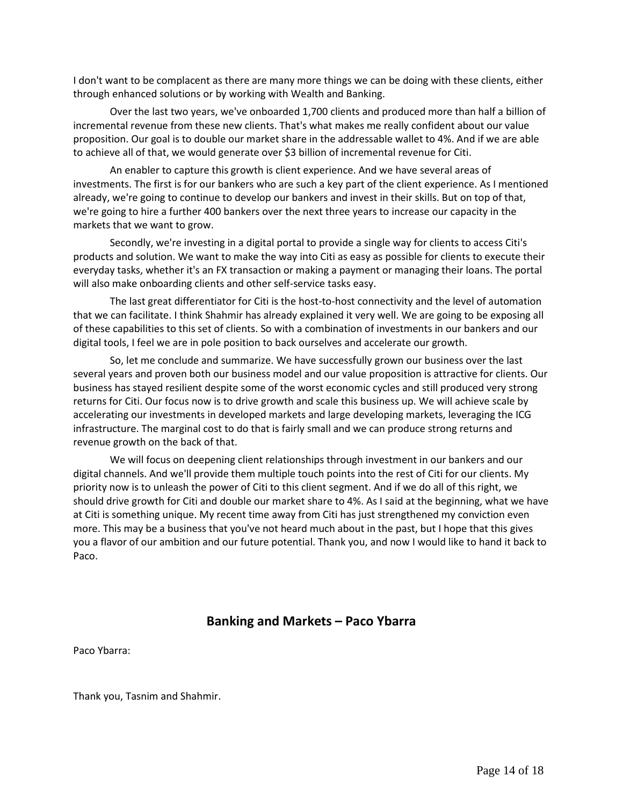I don't want to be complacent as there are many more things we can be doing with these clients, either through enhanced solutions or by working with Wealth and Banking.

Over the last two years, we've onboarded 1,700 clients and produced more than half a billion of incremental revenue from these new clients. That's what makes me really confident about our value proposition. Our goal is to double our market share in the addressable wallet to 4%. And if we are able to achieve all of that, we would generate over \$3 billion of incremental revenue for Citi.

An enabler to capture this growth is client experience. And we have several areas of investments. The first is for our bankers who are such a key part of the client experience. As I mentioned already, we're going to continue to develop our bankers and invest in their skills. But on top of that, we're going to hire a further 400 bankers over the next three years to increase our capacity in the markets that we want to grow.

Secondly, we're investing in a digital portal to provide a single way for clients to access Citi's products and solution. We want to make the way into Citi as easy as possible for clients to execute their everyday tasks, whether it's an FX transaction or making a payment or managing their loans. The portal will also make onboarding clients and other self-service tasks easy.

The last great differentiator for Citi is the host-to-host connectivity and the level of automation that we can facilitate. I think Shahmir has already explained it very well. We are going to be exposing all of these capabilities to this set of clients. So with a combination of investments in our bankers and our digital tools, I feel we are in pole position to back ourselves and accelerate our growth.

So, let me conclude and summarize. We have successfully grown our business over the last several years and proven both our business model and our value proposition is attractive for clients. Our business has stayed resilient despite some of the worst economic cycles and still produced very strong returns for Citi. Our focus now is to drive growth and scale this business up. We will achieve scale by accelerating our investments in developed markets and large developing markets, leveraging the ICG infrastructure. The marginal cost to do that is fairly small and we can produce strong returns and revenue growth on the back of that.

We will focus on deepening client relationships through investment in our bankers and our digital channels. And we'll provide them multiple touch points into the rest of Citi for our clients. My priority now is to unleash the power of Citi to this client segment. And if we do all of this right, we should drive growth for Citi and double our market share to 4%. As I said at the beginning, what we have at Citi is something unique. My recent time away from Citi has just strengthened my conviction even more. This may be a business that you've not heard much about in the past, but I hope that this gives you a flavor of our ambition and our future potential. Thank you, and now I would like to hand it back to Paco.

# **Banking and Markets – Paco Ybarra**

Paco Ybarra:

Thank you, Tasnim and Shahmir.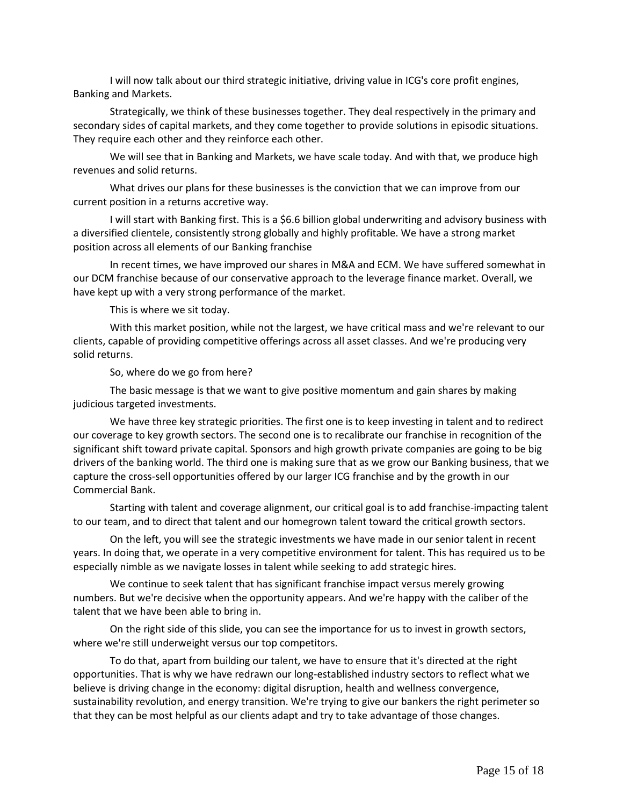I will now talk about our third strategic initiative, driving value in ICG's core profit engines, Banking and Markets.

Strategically, we think of these businesses together. They deal respectively in the primary and secondary sides of capital markets, and they come together to provide solutions in episodic situations. They require each other and they reinforce each other.

We will see that in Banking and Markets, we have scale today. And with that, we produce high revenues and solid returns.

What drives our plans for these businesses is the conviction that we can improve from our current position in a returns accretive way.

I will start with Banking first. This is a \$6.6 billion global underwriting and advisory business with a diversified clientele, consistently strong globally and highly profitable. We have a strong market position across all elements of our Banking franchise

In recent times, we have improved our shares in M&A and ECM. We have suffered somewhat in our DCM franchise because of our conservative approach to the leverage finance market. Overall, we have kept up with a very strong performance of the market.

This is where we sit today.

With this market position, while not the largest, we have critical mass and we're relevant to our clients, capable of providing competitive offerings across all asset classes. And we're producing very solid returns.

So, where do we go from here?

The basic message is that we want to give positive momentum and gain shares by making judicious targeted investments.

We have three key strategic priorities. The first one is to keep investing in talent and to redirect our coverage to key growth sectors. The second one is to recalibrate our franchise in recognition of the significant shift toward private capital. Sponsors and high growth private companies are going to be big drivers of the banking world. The third one is making sure that as we grow our Banking business, that we capture the cross-sell opportunities offered by our larger ICG franchise and by the growth in our Commercial Bank.

Starting with talent and coverage alignment, our critical goal is to add franchise-impacting talent to our team, and to direct that talent and our homegrown talent toward the critical growth sectors.

On the left, you will see the strategic investments we have made in our senior talent in recent years. In doing that, we operate in a very competitive environment for talent. This has required us to be especially nimble as we navigate losses in talent while seeking to add strategic hires.

We continue to seek talent that has significant franchise impact versus merely growing numbers. But we're decisive when the opportunity appears. And we're happy with the caliber of the talent that we have been able to bring in.

On the right side of this slide, you can see the importance for us to invest in growth sectors, where we're still underweight versus our top competitors.

To do that, apart from building our talent, we have to ensure that it's directed at the right opportunities. That is why we have redrawn our long-established industry sectors to reflect what we believe is driving change in the economy: digital disruption, health and wellness convergence, sustainability revolution, and energy transition. We're trying to give our bankers the right perimeter so that they can be most helpful as our clients adapt and try to take advantage of those changes.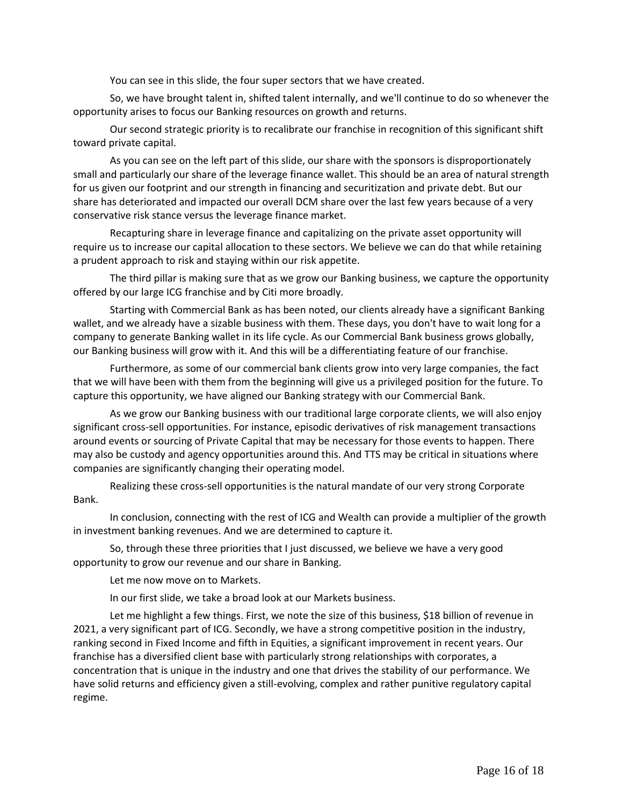You can see in this slide, the four super sectors that we have created.

So, we have brought talent in, shifted talent internally, and we'll continue to do so whenever the opportunity arises to focus our Banking resources on growth and returns.

Our second strategic priority is to recalibrate our franchise in recognition of this significant shift toward private capital.

As you can see on the left part of this slide, our share with the sponsors is disproportionately small and particularly our share of the leverage finance wallet. This should be an area of natural strength for us given our footprint and our strength in financing and securitization and private debt. But our share has deteriorated and impacted our overall DCM share over the last few years because of a very conservative risk stance versus the leverage finance market.

Recapturing share in leverage finance and capitalizing on the private asset opportunity will require us to increase our capital allocation to these sectors. We believe we can do that while retaining a prudent approach to risk and staying within our risk appetite.

The third pillar is making sure that as we grow our Banking business, we capture the opportunity offered by our large ICG franchise and by Citi more broadly.

Starting with Commercial Bank as has been noted, our clients already have a significant Banking wallet, and we already have a sizable business with them. These days, you don't have to wait long for a company to generate Banking wallet in its life cycle. As our Commercial Bank business grows globally, our Banking business will grow with it. And this will be a differentiating feature of our franchise.

Furthermore, as some of our commercial bank clients grow into very large companies, the fact that we will have been with them from the beginning will give us a privileged position for the future. To capture this opportunity, we have aligned our Banking strategy with our Commercial Bank.

As we grow our Banking business with our traditional large corporate clients, we will also enjoy significant cross-sell opportunities. For instance, episodic derivatives of risk management transactions around events or sourcing of Private Capital that may be necessary for those events to happen. There may also be custody and agency opportunities around this. And TTS may be critical in situations where companies are significantly changing their operating model.

Realizing these cross-sell opportunities is the natural mandate of our very strong Corporate Bank.

In conclusion, connecting with the rest of ICG and Wealth can provide a multiplier of the growth in investment banking revenues. And we are determined to capture it.

So, through these three priorities that I just discussed, we believe we have a very good opportunity to grow our revenue and our share in Banking.

Let me now move on to Markets.

In our first slide, we take a broad look at our Markets business.

Let me highlight a few things. First, we note the size of this business, \$18 billion of revenue in 2021, a very significant part of ICG. Secondly, we have a strong competitive position in the industry, ranking second in Fixed Income and fifth in Equities, a significant improvement in recent years. Our franchise has a diversified client base with particularly strong relationships with corporates, a concentration that is unique in the industry and one that drives the stability of our performance. We have solid returns and efficiency given a still-evolving, complex and rather punitive regulatory capital regime.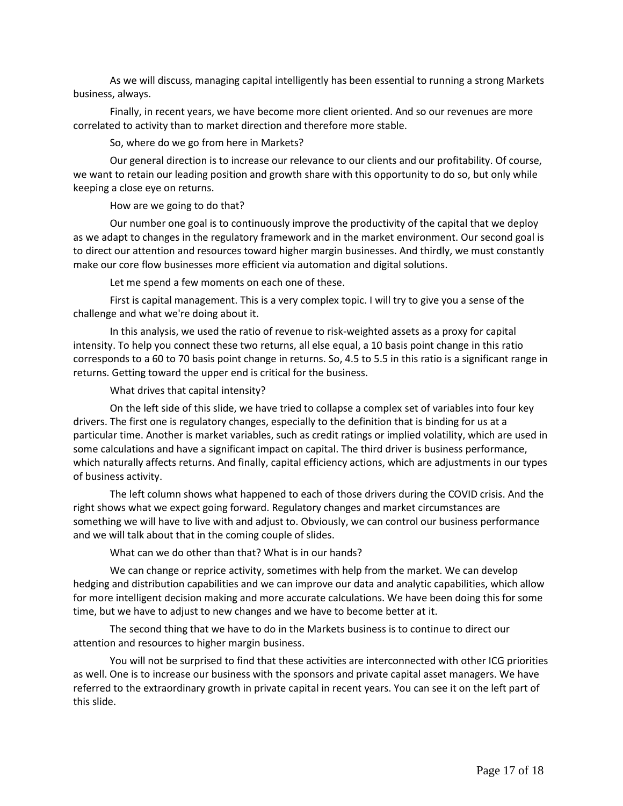As we will discuss, managing capital intelligently has been essential to running a strong Markets business, always.

Finally, in recent years, we have become more client oriented. And so our revenues are more correlated to activity than to market direction and therefore more stable.

So, where do we go from here in Markets?

Our general direction is to increase our relevance to our clients and our profitability. Of course, we want to retain our leading position and growth share with this opportunity to do so, but only while keeping a close eye on returns.

How are we going to do that?

Our number one goal is to continuously improve the productivity of the capital that we deploy as we adapt to changes in the regulatory framework and in the market environment. Our second goal is to direct our attention and resources toward higher margin businesses. And thirdly, we must constantly make our core flow businesses more efficient via automation and digital solutions.

Let me spend a few moments on each one of these.

First is capital management. This is a very complex topic. I will try to give you a sense of the challenge and what we're doing about it.

In this analysis, we used the ratio of revenue to risk-weighted assets as a proxy for capital intensity. To help you connect these two returns, all else equal, a 10 basis point change in this ratio corresponds to a 60 to 70 basis point change in returns. So, 4.5 to 5.5 in this ratio is a significant range in returns. Getting toward the upper end is critical for the business.

What drives that capital intensity?

On the left side of this slide, we have tried to collapse a complex set of variables into four key drivers. The first one is regulatory changes, especially to the definition that is binding for us at a particular time. Another is market variables, such as credit ratings or implied volatility, which are used in some calculations and have a significant impact on capital. The third driver is business performance, which naturally affects returns. And finally, capital efficiency actions, which are adjustments in our types of business activity.

The left column shows what happened to each of those drivers during the COVID crisis. And the right shows what we expect going forward. Regulatory changes and market circumstances are something we will have to live with and adjust to. Obviously, we can control our business performance and we will talk about that in the coming couple of slides.

What can we do other than that? What is in our hands?

We can change or reprice activity, sometimes with help from the market. We can develop hedging and distribution capabilities and we can improve our data and analytic capabilities, which allow for more intelligent decision making and more accurate calculations. We have been doing this for some time, but we have to adjust to new changes and we have to become better at it.

The second thing that we have to do in the Markets business is to continue to direct our attention and resources to higher margin business.

You will not be surprised to find that these activities are interconnected with other ICG priorities as well. One is to increase our business with the sponsors and private capital asset managers. We have referred to the extraordinary growth in private capital in recent years. You can see it on the left part of this slide.